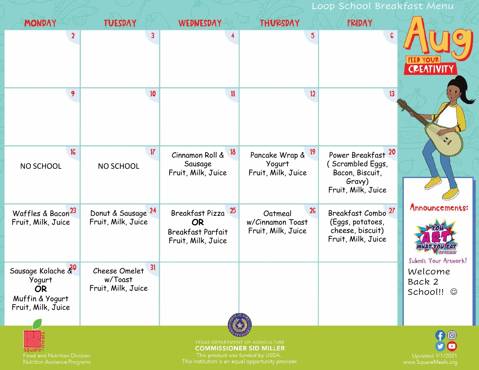## Loop School Breakfast Menu **FRIDAY MONDAY TUESDAY THURSDAY WEDNESDAY** 5  $\overline{3}$  $\mathbf{r}$ c 9  $10$  $\mathbf{11}$  $12$  $13$ 16  $17$ 18 Pancake Wrap & 19 Power Breakfast<sup>20</sup> Cinnamon Roll & Yogurt ( Scrambled Eggs, Sausage NO SCHOOL NO SCHOOL Fruit, Milk, Juice Fruit, Milk, Juice Bacon, Biscuit, Gravy) Fruit, Milk, Juice Announcements: Waffles & Bacon  $26$ 25 Breakfast Combo Donut & Sausage 24 Breakfast Pizza Oatmeal Fruit, Milk, Juice Fruit, Milk, Juice **OR** w/Cinnamon Toast (Eggs, potatoes, cheese, biscuit) Fruit, Milk, Juice Breakfast Parfait Fruit, Milk, Juice Fruit, Milk, Juice Submit Your Artwork! Sausage Kolache &  $31$ Cheese Omelet Welcome Yogurt w/Toast Back 2 **OR** Fruit, Milk, JuiceSchool!!  $©$ Muffin & Yogurt Fruit, Milk, Juice lo. **COMMISSIONER SID MILLER** Food and Nutrition Division **Updated 1/1/2021**